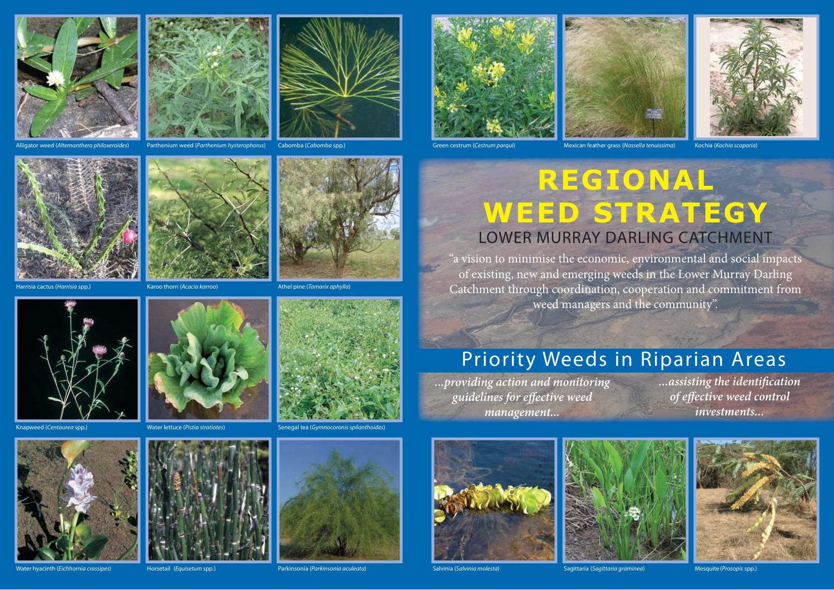



alum hysterophorus) Cabomba (Cabomba spp.) Parthenium weed (Parthenium Cestrum parqui) Mexican feather grass (Nassella tenuissima) Kochia (Kochia scoparia) Cabomba (Cabomba spp.)







## **REGIONAL WEED STRATEGY** LOWER MURRAY DARLING CATCHMENT

"a vision to minimise the economic, environmental and social impacts of existing, new and emerging weeds in the Lower Murray Darling Catchment through coordination, cooperation and commitment from weed managers and the community".

## Priority Weeds in Riparian Areas

*...providing action and monitoring guidelines for eff ective weed management...*

*...assisting the identifi cation of effective weed control investments...*





Salvinia (Salvinia molesta) Sagittaria (Sagittaria graminea) Mesquite (Prosopis spp.)













Water hyacinth (Eichhornia crassipes) Horsetail (Equisetum spp.) Parkinsonia (Parkinsonia aculeata)







Harrisia cactus (Harrisia spp.) Karoo thorn (Acacia karroo) Athel pine (Tamarix aphylla)